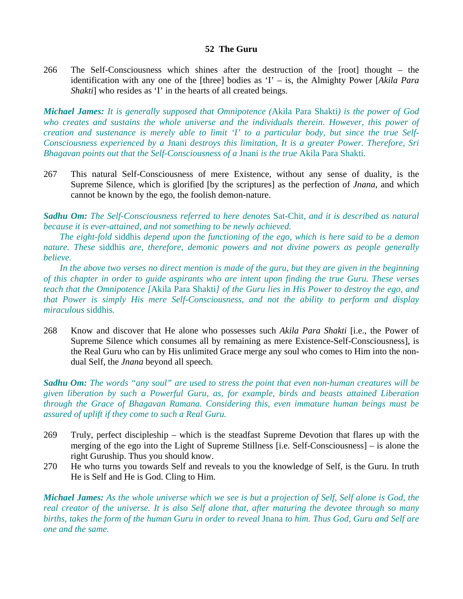#### **52 The Guru**

266 The Self-Consciousness which shines after the destruction of the [root] thought – the identification with any one of the [three] bodies as 'I' – is, the Almighty Power [*Akila Para Shakti*] who resides as 'I' in the hearts of all created beings.

*Michael James: It is generally supposed that Omnipotence (*Akila Para Shakti*) is the power of God who creates and sustains the whole universe and the individuals therein. However, this power of creation and sustenance is merely able to limit 'I' to a particular body, but since the true Self-Consciousness experienced by a* Jnani *destroys this limitation, It is a greater Power. Therefore, Sri Bhagavan points out that the Self-Consciousness of a* Jnani *is the true* Akila Para Shakti*.* 

267 This natural Self-Consciousness of mere Existence, without any sense of duality, is the Supreme Silence, which is glorified [by the scriptures] as the perfection of *Jnana*, and which cannot be known by the ego, the foolish demon-nature.

*Sadhu Om: The Self-Consciousness referred to here denotes* Sat-Chit*, and it is described as natural because it is ever-attained, and not something to be newly achieved.* 

 *The eight-fold* siddhis *depend upon the functioning of the ego, which is here said to be a demon nature. These* siddhis *are, therefore, demonic powers and not divine powers as people generally believe.* 

 *In the above two verses no direct mention is made of the guru, but they are given in the beginning of this chapter in order to guide aspirants who are intent upon finding the true Guru. These verses teach that the Omnipotence [*Akila Para Shakti*] of the Guru lies in His Power to destroy the ego, and that Power is simply His mere Self-Consciousness, and not the ability to perform and display miraculous* siddhis*.* 

268 Know and discover that He alone who possesses such *Akila Para Shakti* [i.e., the Power of Supreme Silence which consumes all by remaining as mere Existence-Self-Consciousness], is the Real Guru who can by His unlimited Grace merge any soul who comes to Him into the nondual Self, the *Jnana* beyond all speech.

*Sadhu Om: The words "any soul" are used to stress the point that even non-human creatures will be given liberation by such a Powerful Guru, as, for example, birds and beasts attained Liberation through the Grace of Bhagavan Ramana. Considering this, even immature human beings must be assured of uplift if they come to such a Real Guru.* 

- 269 Truly, perfect discipleship which is the steadfast Supreme Devotion that flares up with the merging of the ego into the Light of Supreme Stillness [i.e. Self-Consciousness] – is alone the right Guruship. Thus you should know.
- 270 He who turns you towards Self and reveals to you the knowledge of Self, is the Guru. In truth He is Self and He is God. Cling to Him.

*Michael James: As the whole universe which we see is but a projection of Self, Self alone is God, the real creator of the universe. It is also Self alone that, after maturing the devotee through so many births, takes the form of the human* G*uru in order to reveal* Jnana *to him. Thus God, Guru and Self are one and the same.*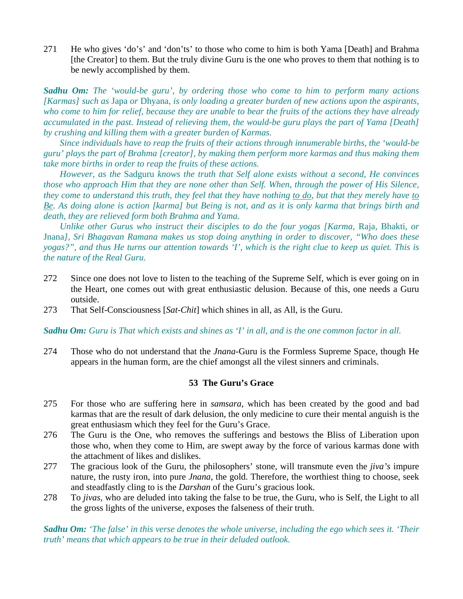271 He who gives 'do's' and 'don'ts' to those who come to him is both Yama [Death] and Brahma [the Creator] to them. But the truly divine Guru is the one who proves to them that nothing is to be newly accomplished by them.

*Sadhu Om: The 'would-be guru', by ordering those who come to him to perform many actions [Karmas] such as* Japa *or* Dhyana*, is only loading a greater burden of new actions upon the aspirants, who come to him for relief, because they are unable to bear the fruits of the actions they have already accumulated in the past. Instead of relieving them, the would-be guru plays the part of Yama [Death] by crushing and killing them with a greater burden of Karmas.* 

 *Since individuals have to reap the fruits of their actions through innumerable births, the 'would-be guru' plays the part of Brahma [creator], by making them perform more karmas and thus making them take more births in order to reap the fruits of these actions.* 

 *However, as the* Sadguru *knows the truth that Self alone exists without a second, He convinces those who approach Him that they are none other than Self. When, through the power of His Silence, they come to understand this truth, they feel that they have nothing to do, but that they merely have to Be. As doing alone is action [karma] but Being is not, and as it is only karma that brings birth and death, they are relieved form both Brahma and Yama.* 

 *Unlike other Gurus who instruct their disciples to do the four yogas [Karma,* Raja*,* Bhakti*, or*  Jnana*], Sri Bhagavan Ramana makes us stop doing anything in order to discover, "Who does these yogas?", and thus He turns our attention towards 'I', which is the right clue to keep us quiet. This is the nature of the Real Guru.* 

- 272 Since one does not love to listen to the teaching of the Supreme Self, which is ever going on in the Heart, one comes out with great enthusiastic delusion. Because of this, one needs a Guru outside.
- 273 That Self-Consciousness [*Sat-Chit*] which shines in all, as All, is the Guru.

#### *Sadhu Om: Guru is That which exists and shines as 'I' in all, and is the one common factor in all.*

274 Those who do not understand that the *Jnana*-Guru is the Formless Supreme Space, though He appears in the human form, are the chief amongst all the vilest sinners and criminals.

### **53 The Guru's Grace**

- 275 For those who are suffering here in *samsara*, which has been created by the good and bad karmas that are the result of dark delusion, the only medicine to cure their mental anguish is the great enthusiasm which they feel for the Guru's Grace.
- 276 The Guru is the One, who removes the sufferings and bestows the Bliss of Liberation upon those who, when they come to Him, are swept away by the force of various karmas done with the attachment of likes and dislikes.
- 277 The gracious look of the Guru, the philosophers' stone, will transmute even the *jiva's* impure nature, the rusty iron, into pure *Jnana*, the gold. Therefore, the worthiest thing to choose, seek and steadfastly cling to is the *Darshan* of the Guru's gracious look.
- 278 To *jivas,* who are deluded into taking the false to be true, the Guru, who is Self, the Light to all the gross lights of the universe, exposes the falseness of their truth.

#### *Sadhu Om: 'The false' in this verse denotes the whole universe, including the ego which sees it. 'Their truth' means that which appears to be true in their deluded outlook.*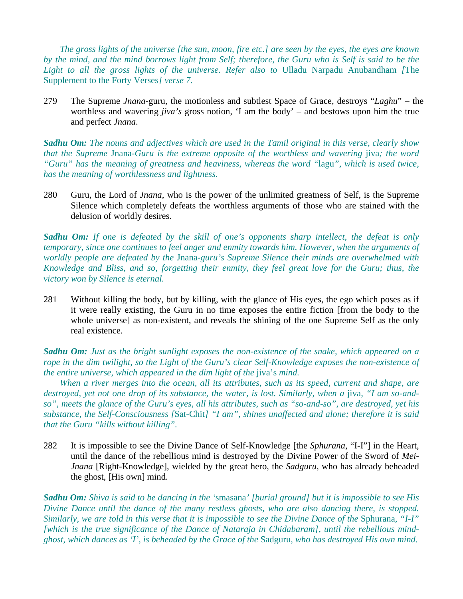*The gross lights of the universe [the sun, moon, fire etc.] are seen by the eyes, the eyes are known by the mind, and the mind borrows light from Self; therefore, the Guru who is Self is said to be the Light to all the gross lights of the universe. Refer also to* Ulladu Narpadu Anubandham *[*The Supplement to the Forty Verses*] verse 7.* 

279 The Supreme *Jnana*-guru, the motionless and subtlest Space of Grace, destroys "*Laghu*" – the worthless and wavering *jiva's* gross notion, 'I am the body' – and bestows upon him the true and perfect *Jnana*.

*Sadhu Om: The nouns and adjectives which are used in the Tamil original in this verse, clearly show that the Supreme* Jnana*-Guru is the extreme opposite of the worthless and wavering* jiva*; the word "Guru" has the meaning of greatness and heaviness, whereas the word "*lagu*", which is used twice, has the meaning of worthlessness and lightness.* 

280 Guru, the Lord of *Jnana*, who is the power of the unlimited greatness of Self, is the Supreme Silence which completely defeats the worthless arguments of those who are stained with the delusion of worldly desires.

*Sadhu Om: If one is defeated by the skill of one's opponents sharp intellect, the defeat is only temporary, since one continues to feel anger and enmity towards him. However, when the arguments of worldly people are defeated by the* Jnana*-guru's Supreme Silence their minds are overwhelmed with Knowledge and Bliss, and so, forgetting their enmity, they feel great love for the Guru; thus, the victory won by Silence is eternal.* 

281 Without killing the body, but by killing, with the glance of His eyes, the ego which poses as if it were really existing, the Guru in no time exposes the entire fiction [from the body to the whole universe] as non-existent, and reveals the shining of the one Supreme Self as the only real existence.

*Sadhu Om: Just as the bright sunlight exposes the non-existence of the snake, which appeared on a rope in the dim twilight, so the Light of the Guru's clear Self-Knowledge exposes the non-existence of the entire universe, which appeared in the dim light of the <i>jiva's mind.* 

 *When a river merges into the ocean, all its attributes, such as its speed, current and shape, are*  destroyed, yet not one drop of its substance, the water, is lost. Similarly, when a jiva, "I am so-and*so", meets the glance of the Guru's eyes, all his attributes, such as "so-and-so", are destroyed, yet his substance, the Self-Consciousness [*Sat-Chit*] "I am", shines unaffected and alone; therefore it is said that the Guru "kills without killing".* 

282 It is impossible to see the Divine Dance of Self-Knowledge [the *Sphurana*, "I-I"] in the Heart, until the dance of the rebellious mind is destroyed by the Divine Power of the Sword of *Mei-Jnana* [Right-Knowledge], wielded by the great hero, the *Sadguru*, who has already beheaded the ghost, [His own] mind.

*Sadhu Om: Shiva is said to be dancing in the '*smasana*' [burial ground] but it is impossible to see His Divine Dance until the dance of the many restless ghosts, who are also dancing there, is stopped. Similarly, we are told in this verse that it is impossible to see the Divine Dance of the Sphurana, "I-I" [which is the true significance of the Dance of Nataraja in Chidabaram], until the rebellious mindghost, which dances as 'I', is beheaded by the Grace of the* Sadguru*, who has destroyed His own mind.*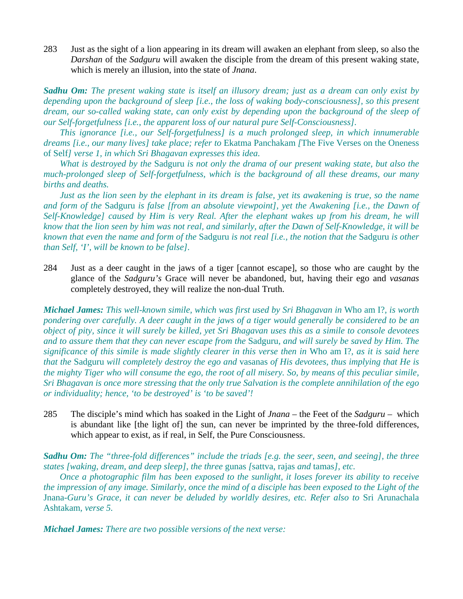283 Just as the sight of a lion appearing in its dream will awaken an elephant from sleep, so also the *Darshan* of the *Sadguru* will awaken the disciple from the dream of this present waking state, which is merely an illusion, into the state of *Jnana*.

*Sadhu Om: The present waking state is itself an illusory dream; just as a dream can only exist by depending upon the background of sleep [i.e., the loss of waking body-consciousness], so this present dream, our so-called waking state, can only exist by depending upon the background of the sleep of our Self-forgetfulness [i.e., the apparent loss of our natural pure Self-Consciousness].* 

 *This ignorance [i.e., our Self-forgetfulness] is a much prolonged sleep, in which innumerable dreams [i.e., our many lives] take place; refer to* Ekatma Panchakam *[The Five Verses on the Oneness* of Self*] verse 1, in which Sri Bhagavan expresses this idea.* 

 *What is destroyed by the* Sadguru *is not only the drama of our present waking state, but also the much-prolonged sleep of Self-forgetfulness, which is the background of all these dreams, our many births and deaths.* 

 *Just as the lion seen by the elephant in its dream is false, yet its awakening is true, so the name and form of the* Sadguru *is false [from an absolute viewpoint], yet the Awakening [i.e., the Dawn of Self-Knowledge] caused by Him is very Real. After the elephant wakes up from his dream, he will know that the lion seen by him was not real, and similarly, after the Dawn of Self-Knowledge, it will be known that even the name and form of the* Sadguru *is not real [i.e., the notion that the* Sadguru *is other than Self, 'I', will be known to be false].* 

284 Just as a deer caught in the jaws of a tiger [cannot escape], so those who are caught by the glance of the *Sadguru's* Grace will never be abandoned, but, having their ego and *vasanas* completely destroyed, they will realize the non-dual Truth.

*Michael James: This well-known simile, which was first used by Sri Bhagavan in* Who am I?*, is worth pondering over carefully. A deer caught in the jaws of a tiger would generally be considered to be an object of pity, since it will surely be killed, yet Sri Bhagavan uses this as a simile to console devotees and to assure them that they can never escape from the* Sadguru*, and will surely be saved by Him. The significance of this simile is made slightly clearer in this verse then in* Who am I?*, as it is said here that the* Sadguru *will completely destroy the ego and* vasanas *of His devotees, thus implying that He is the mighty Tiger who will consume the ego, the root of all misery. So, by means of this peculiar simile, Sri Bhagavan is once more stressing that the only true Salvation is the complete annihilation of the ego or individuality; hence, 'to be destroyed' is 'to be saved'!* 

285 The disciple's mind which has soaked in the Light of *Jnana* – the Feet of the *Sadguru* – which is abundant like [the light of] the sun, can never be imprinted by the three-fold differences, which appear to exist, as if real, in Self, the Pure Consciousness.

*Sadhu Om: The "three-fold differences" include the triads [e.g. the seer, seen, and seeing], the three states [waking, dream, and deep sleep], the three* gunas *[*sattva*,* rajas *and* tamas*], etc.* 

 *Once a photographic film has been exposed to the sunlight, it loses forever its ability to receive the impression of any image. Similarly, once the mind of a disciple has been exposed to the Light of the*  Jnana*-Guru's Grace, it can never be deluded by worldly desires, etc. Refer also to* Sri Arunachala Ashtakam*, verse 5.* 

*Michael James: There are two possible versions of the next verse:*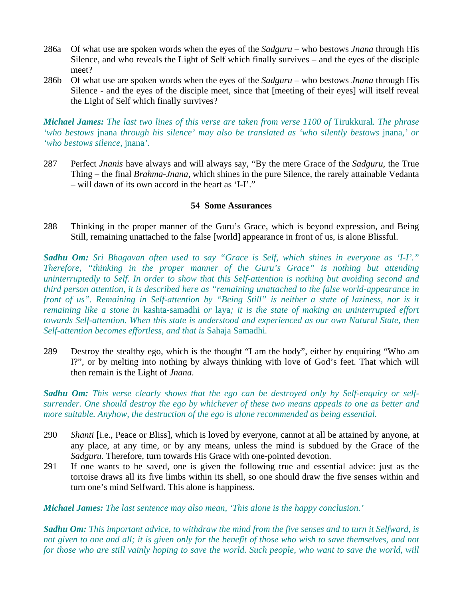- 286a Of what use are spoken words when the eyes of the *Sadguru* who bestows *Jnana* through His Silence, and who reveals the Light of Self which finally survives – and the eyes of the disciple meet?
- 286b Of what use are spoken words when the eyes of the *Sadguru* who bestows *Jnana* through His Silence - and the eyes of the disciple meet, since that [meeting of their eyes] will itself reveal the Light of Self which finally survives?

*Michael James: The last two lines of this verse are taken from verse 1100 of* Tirukkural*. The phrase 'who bestows* jnana *through his silence' may also be translated as 'who silently bestows* jnana*,' or 'who bestows silence,* jnana*'.* 

287 Perfect *Jnanis* have always and will always say, "By the mere Grace of the *Sadguru*, the True Thing – the final *Brahma-Jnana*, which shines in the pure Silence, the rarely attainable Vedanta – will dawn of its own accord in the heart as 'I-I'."

## **54 Some Assurances**

288 Thinking in the proper manner of the Guru's Grace, which is beyond expression, and Being Still, remaining unattached to the false [world] appearance in front of us, is alone Blissful.

*Sadhu Om: Sri Bhagavan often used to say "Grace is Self, which shines in everyone as 'I-I'." Therefore, "thinking in the proper manner of the Guru's Grace" is nothing but attending uninterruptedly to Self. In order to show that this Self-attention is nothing but avoiding second and third person attention, it is described here as "remaining unattached to the false world-appearance in front of us". Remaining in Self-attention by "Being Still" is neither a state of laziness, nor is it remaining like a stone in* kashta-samadhi *or* laya*; it is the state of making an uninterrupted effort towards Self-attention. When this state is understood and experienced as our own Natural State, then Self-attention becomes effortless, and that is* Sahaja Samadhi*.* 

289 Destroy the stealthy ego, which is the thought "I am the body", either by enquiring "Who am I?", or by melting into nothing by always thinking with love of God's feet. That which will then remain is the Light of *Jnana*.

*Sadhu Om: This verse clearly shows that the ego can be destroyed only by Self-enquiry or selfsurrender. One should destroy the ego by whichever of these two means appeals to one as better and more suitable. Anyhow, the destruction of the ego is alone recommended as being essential.* 

- 290 *Shanti* [i.e., Peace or Bliss], which is loved by everyone, cannot at all be attained by anyone, at any place, at any time, or by any means, unless the mind is subdued by the Grace of the *Sadguru.* Therefore, turn towards His Grace with one-pointed devotion.
- 291 If one wants to be saved, one is given the following true and essential advice: just as the tortoise draws all its five limbs within its shell, so one should draw the five senses within and turn one's mind Selfward. This alone is happiness.

*Michael James: The last sentence may also mean, 'This alone is the happy conclusion.'* 

*Sadhu Om: This important advice, to withdraw the mind from the five senses and to turn it Selfward, is not given to one and all; it is given only for the benefit of those who wish to save themselves, and not for those who are still vainly hoping to save the world. Such people, who want to save the world, will*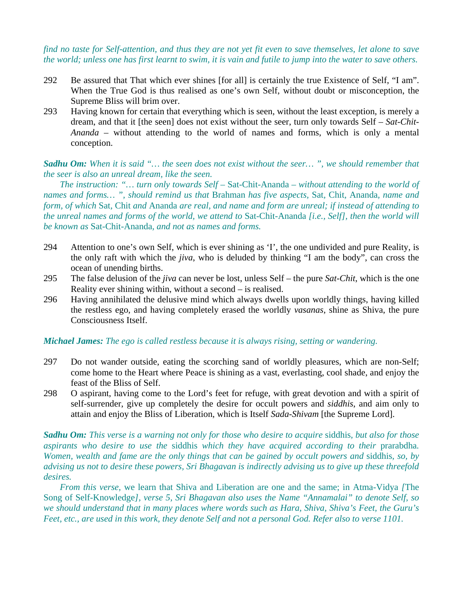*find no taste for Self-attention, and thus they are not yet fit even to save themselves, let alone to save the world; unless one has first learnt to swim, it is vain and futile to jump into the water to save others.* 

- 292 Be assured that That which ever shines [for all] is certainly the true Existence of Self, "I am". When the True God is thus realised as one's own Self, without doubt or misconception, the Supreme Bliss will brim over.
- 293 Having known for certain that everything which is seen, without the least exception, is merely a dream, and that it [the seen] does not exist without the seer, turn only towards Self – *Sat-Chit-Ananda* – without attending to the world of names and forms, which is only a mental conception.

*Sadhu Om: When it is said "… the seen does not exist without the seer… ", we should remember that the seer is also an unreal dream, like the seen.* 

 *The instruction: "… turn only towards Self –* Sat-Chit-Ananda *– without attending to the world of names and forms… ", should remind us that* Brahman *has five aspects,* Sat*,* Chit*,* Ananda*, name and form, of which* Sat*,* Chit *and* Ananda *are real, and name and form are unreal; if instead of attending to the unreal names and forms of the world, we attend to* Sat-Chit-Ananda *[i.e., Self], then the world will be known as* Sat-Chit-Ananda*, and not as names and forms.* 

- 294 Attention to one's own Self, which is ever shining as 'I', the one undivided and pure Reality, is the only raft with which the *jiva*, who is deluded by thinking "I am the body", can cross the ocean of unending births.
- 295 The false delusion of the *jiva* can never be lost, unless Self the pure *Sat-Chit*, which is the one Reality ever shining within, without a second – is realised.
- 296 Having annihilated the delusive mind which always dwells upon worldly things, having killed the restless ego, and having completely erased the worldly *vasanas*, shine as Shiva, the pure Consciousness Itself.

#### *Michael James: The ego is called restless because it is always rising, setting or wandering.*

- 297 Do not wander outside, eating the scorching sand of worldly pleasures, which are non-Self; come home to the Heart where Peace is shining as a vast, everlasting, cool shade, and enjoy the feast of the Bliss of Self.
- 298 O aspirant, having come to the Lord's feet for refuge, with great devotion and with a spirit of self-surrender, give up completely the desire for occult powers and *siddhis*, and aim only to attain and enjoy the Bliss of Liberation, which is Itself *Sada-Shivam* [the Supreme Lord].

*Sadhu Om: This verse is a warning not only for those who desire to acquire* siddhis*, but also for those aspirants who desire to use the* siddhis *which they have acquired according to their* prarabdha*. Women, wealth and fame are the only things that can be gained by occult powers and* siddhis*, so, by advising us not to desire these powers, Sri Bhagavan is indirectly advising us to give up these threefold desires.* 

 *From this verse,* we learn that Shiva and Liberation are one and the same; in Atma-Vidya *[*The Song of Self-Knowledge*], verse 5, Sri Bhagavan also uses the Name "Annamalai" to denote Self, so we should understand that in many places where words such as Hara, Shiva, Shiva's Feet, the Guru's Feet, etc., are used in this work, they denote Self and not a personal God. Refer also to verse 1101.*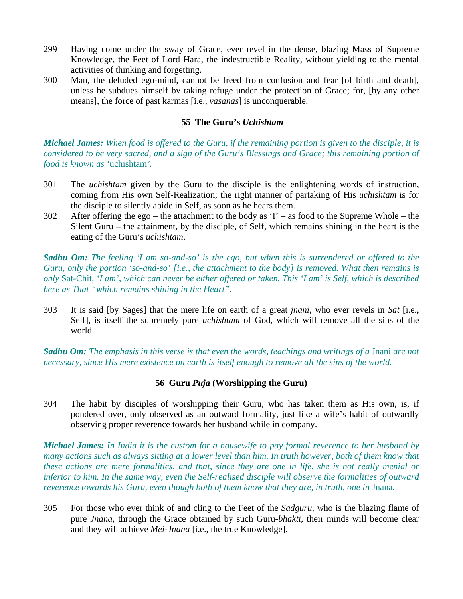- 299 Having come under the sway of Grace, ever revel in the dense, blazing Mass of Supreme Knowledge, the Feet of Lord Hara, the indestructible Reality, without yielding to the mental activities of thinking and forgetting.
- 300 Man, the deluded ego-mind, cannot be freed from confusion and fear [of birth and death], unless he subdues himself by taking refuge under the protection of Grace; for, [by any other means], the force of past karmas [i.e., *vasanas*] is unconquerable.

## **55 The Guru's** *Uchishtam*

*Michael James: When food is offered to the Guru, if the remaining portion is given to the disciple, it is considered to be very sacred, and a sign of the Guru's Blessings and Grace; this remaining portion of food is known as '*uchishtam*'.* 

- 301 The *uchishtam* given by the Guru to the disciple is the enlightening words of instruction, coming from His own Self-Realization; the right manner of partaking of His *uchishtam* is for the disciple to silently abide in Self, as soon as he hears them.
- 302 After offering the ego the attachment to the body as 'I' as food to the Supreme Whole the Silent Guru – the attainment, by the disciple, of Self, which remains shining in the heart is the eating of the Guru's *uchishtam*.

*Sadhu Om: The feeling 'I am so-and-so' is the ego, but when this is surrendered or offered to the Guru, only the portion 'so-and-so' [i.e., the attachment to the body] is removed. What then remains is only* Sat-Chit*, 'I am', which can never be either offered or taken. This 'I am' is Self, which is described here as That "which remains shining in the Heart".* 

303 It is said [by Sages] that the mere life on earth of a great *jnani*, who ever revels in *Sat* [i.e., Self], is itself the supremely pure *uchishtam* of God, which will remove all the sins of the world.

**Sadhu Om:** The emphasis in this verse is that even the words, teachings and writings of a Jnani are not *necessary, since His mere existence on earth is itself enough to remove all the sins of the world.* 

# **56 Guru** *Puja* **(Worshipping the Guru)**

304 The habit by disciples of worshipping their Guru, who has taken them as His own, is, if pondered over, only observed as an outward formality, just like a wife's habit of outwardly observing proper reverence towards her husband while in company.

*Michael James: In India it is the custom for a housewife to pay formal reverence to her husband by many actions such as always sitting at a lower level than him. In truth however, both of them know that these actions are mere formalities, and that, since they are one in life, she is not really menial or inferior to him. In the same way, even the Self-realised disciple will observe the formalities of outward reverence towards his Guru, even though both of them know that they are, in truth, one in Jnana.* 

305 For those who ever think of and cling to the Feet of the *Sadguru*, who is the blazing flame of pure *Jnana*, through the Grace obtained by such Guru-*bhakti*, their minds will become clear and they will achieve *Mei-Jnana* [i.e., the true Knowledge].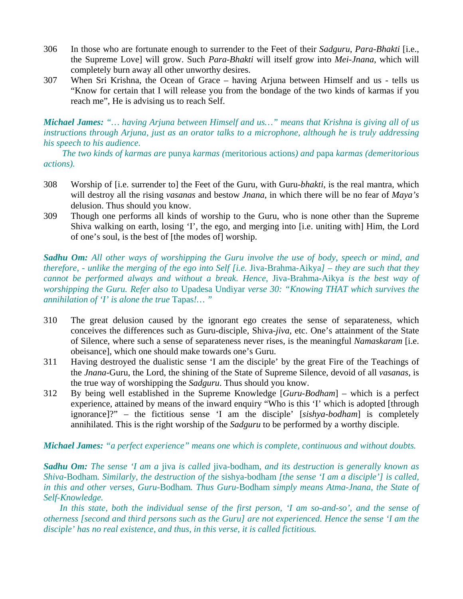- 306 In those who are fortunate enough to surrender to the Feet of their *Sadguru*, *Para-Bhakti* [i.e., the Supreme Love] will grow. Such *Para-Bhakti* will itself grow into *Mei-Jnana*, which will completely burn away all other unworthy desires.
- 307 When Sri Krishna, the Ocean of Grace having Arjuna between Himself and us tells us "Know for certain that I will release you from the bondage of the two kinds of karmas if you reach me", He is advising us to reach Self.

## *Michael James: "… having Arjuna between Himself and us…" means that Krishna is giving all of us instructions through Arjuna, just as an orator talks to a microphone, although he is truly addressing his speech to his audience.*

 *The two kinds of karmas are* punya *karmas (*meritorious actions*) and* papa *karmas (demeritorious actions).* 

- 308 Worship of [i.e. surrender to] the Feet of the Guru, with Guru-*bhakti*, is the real mantra, which will destroy all the rising *vasanas* and bestow *Jnana*, in which there will be no fear of *Maya's* delusion. Thus should you know.
- 309 Though one performs all kinds of worship to the Guru, who is none other than the Supreme Shiva walking on earth, losing 'I', the ego, and merging into [i.e. uniting with] Him, the Lord of one's soul, is the best of [the modes of] worship.

*Sadhu Om: All other ways of worshipping the Guru involve the use of body, speech or mind, and therefore, - unlike the merging of the ego into Self [i.e.* Jiva-Brahma-Aikya*] – they are such that they cannot be performed always and without a break. Hence,* Jiva-Brahma-Aikya *is the best way of worshipping the Guru. Refer also to* Upadesa Undiyar *verse 30: "Knowing THAT which survives the annihilation of 'I' is alone the true* Tapas*!… "* 

- 310 The great delusion caused by the ignorant ego creates the sense of separateness, which conceives the differences such as Guru-disciple, Shiva-*jiva*, etc. One's attainment of the State of Silence, where such a sense of separateness never rises, is the meaningful *Namaskaram* [i.e. obeisance], which one should make towards one's Guru.
- 311 Having destroyed the dualistic sense 'I am the disciple' by the great Fire of the Teachings of the *Jnana*-Guru, the Lord, the shining of the State of Supreme Silence, devoid of all *vasanas*, is the true way of worshipping the *Sadguru*. Thus should you know.
- 312 By being well established in the Supreme Knowledge [*Guru-Bodham*] which is a perfect experience, attained by means of the inward enquiry "Who is this 'I' which is adopted [through ignorance]?" – the fictitious sense 'I am the disciple' [*sishya-bodham*] is completely annihilated. This is the right worship of the *Sadguru* to be performed by a worthy disciple.

*Michael James: "a perfect experience" means one which is complete, continuous and without doubts.* 

*Sadhu Om: The sense 'I am a* jiva *is called* jiva-bodham*, and its destruction is generally known as Shiva-*Bodham*. Similarly, the destruction of the* sishya-bodham *[the sense 'I am a disciple'] is called, in this and other verses, Guru-*Bodham*. Thus Guru-*Bodham *simply means Atma-Jnana, the State of Self-Knowledge.* 

 *In this state, both the individual sense of the first person, 'I am so-and-so', and the sense of otherness [second and third persons such as the Guru] are not experienced. Hence the sense 'I am the disciple' has no real existence, and thus, in this verse, it is called fictitious.*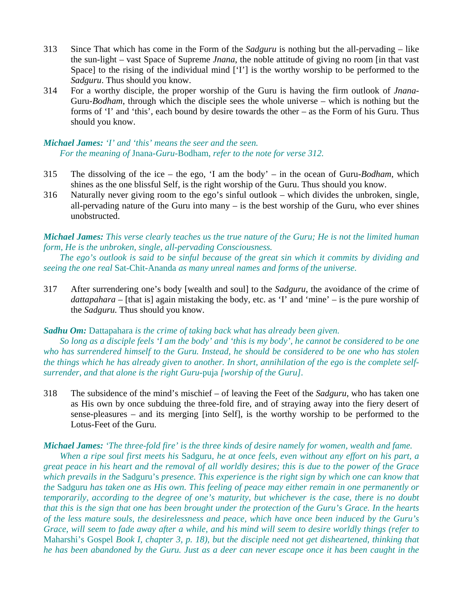- 313 Since That which has come in the Form of the *Sadguru* is nothing but the all-pervading like the sun-light – vast Space of Supreme *Jnana*, the noble attitude of giving no room [in that vast Space] to the rising of the individual mind ['I'] is the worthy worship to be performed to the *Sadguru*. Thus should you know.
- 314 For a worthy disciple, the proper worship of the Guru is having the firm outlook of *Jnana*-Guru-*Bodham*, through which the disciple sees the whole universe – which is nothing but the forms of 'I' and 'this', each bound by desire towards the other – as the Form of his Guru. Thus should you know.

*Michael James: 'I' and 'this' means the seer and the seen. For the meaning of* Jnana*-Guru-*Bodham*, refer to the note for verse 312.* 

- 315 The dissolving of the ice the ego, 'I am the body' in the ocean of Guru-*Bodham*, which shines as the one blissful Self, is the right worship of the Guru. Thus should you know.
- 316 Naturally never giving room to the ego's sinful outlook which divides the unbroken, single, all-pervading nature of the Guru into many – is the best worship of the Guru, who ever shines unobstructed.

# *Michael James: This verse clearly teaches us the true nature of the Guru; He is not the limited human form, He is the unbroken, single, all-pervading Consciousness.*

 *The ego's outlook is said to be sinful because of the great sin which it commits by dividing and seeing the one real* Sat-Chit-Ananda *as many unreal names and forms of the universe.* 

317 After surrendering one's body [wealth and soul] to the *Sadguru*, the avoidance of the crime of *dattapahara* – [that is] again mistaking the body, etc. as 'I' and 'mine' – is the pure worship of the *Sadguru.* Thus should you know.

## *Sadhu Om:* Dattapahara *is the crime of taking back what has already been given.*

 *So long as a disciple feels 'I am the body' and 'this is my body', he cannot be considered to be one who has surrendered himself to the Guru. Instead, he should be considered to be one who has stolen the things which he has already given to another. In short, annihilation of the ego is the complete selfsurrender, and that alone is the right Guru-*puja *[worship of the Guru].* 

318 The subsidence of the mind's mischief – of leaving the Feet of the *Sadguru*, who has taken one as His own by once subduing the three-fold fire, and of straying away into the fiery desert of sense-pleasures – and its merging [into Self], is the worthy worship to be performed to the Lotus-Feet of the Guru.

*Michael James: 'The three-fold fire' is the three kinds of desire namely for women, wealth and fame. When a ripe soul first meets his* Sadguru*, he at once feels, even without any effort on his part, a great peace in his heart and the removal of all worldly desires; this is due to the power of the Grace which prevails in the* Sadguru's *presence. This experience is the right sign by which one can know that the* Sadguru *has taken one as His own. This feeling of peace may either remain in one permanently or temporarily, according to the degree of one's maturity, but whichever is the case, there is no doubt that this is the sign that one has been brought under the protection of the Guru's Grace. In the hearts of the less mature souls, the desirelessness and peace, which have once been induced by the Guru's Grace, will seem to fade away after a while, and his mind will seem to desire worldly things (refer to*  Maharshi's Gospel *Book I, chapter 3, p. 18), but the disciple need not get disheartened, thinking that he has been abandoned by the Guru. Just as a deer can never escape once it has been caught in the*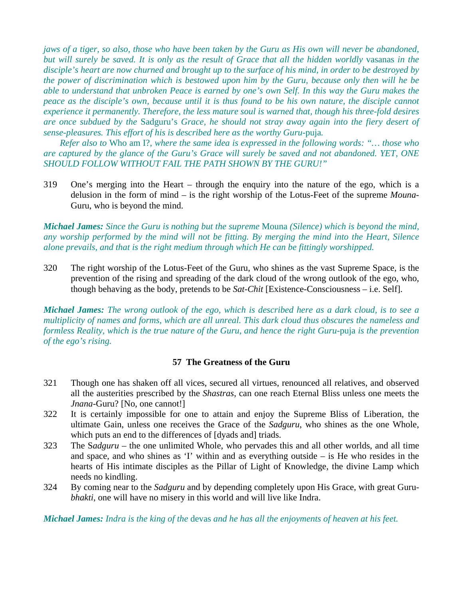*jaws of a tiger, so also, those who have been taken by the Guru as His own will never be abandoned, but will surely be saved. It is only as the result of Grace that all the hidden worldly vasanas in the disciple's heart are now churned and brought up to the surface of his mind, in order to be destroyed by the power of discrimination which is bestowed upon him by the Guru, because only then will he be able to understand that unbroken Peace is earned by one's own Self. In this way the Guru makes the peace as the disciple's own, because until it is thus found to be his own nature, the disciple cannot experience it permanently. Therefore, the less mature soul is warned that, though his three-fold desires are once subdued by the* Sadguru's *Grace, he should not stray away again into the fiery desert of sense-pleasures. This effort of his is described here as the worthy Guru-*puja*.* 

 *Refer also to* Who am I?, *where the same idea is expressed in the following words: "… those who are captured by the glance of the Guru's Grace will surely be saved and not abandoned. YET, ONE SHOULD FOLLOW WITHOUT FAIL THE PATH SHOWN BY THE GURU!"* 

319 One's merging into the Heart – through the enquiry into the nature of the ego, which is a delusion in the form of mind – is the right worship of the Lotus-Feet of the supreme *Mouna*-Guru, who is beyond the mind.

*Michael James: Since the Guru is nothing but the supreme* Mouna *(Silence) which is beyond the mind, any worship performed by the mind will not be fitting. By merging the mind into the Heart, Silence alone prevails, and that is the right medium through which He can be fittingly worshipped.* 

320 The right worship of the Lotus-Feet of the Guru, who shines as the vast Supreme Space, is the prevention of the rising and spreading of the dark cloud of the wrong outlook of the ego, who, though behaving as the body, pretends to be *Sat-Chit* [Existence-Consciousness – i.e. Self].

*Michael James: The wrong outlook of the ego, which is described here as a dark cloud, is to see a multiplicity of names and forms, which are all unreal. This dark cloud thus obscures the nameless and formless Reality, which is the true nature of the Guru, and hence the right Guru-*puja *is the prevention of the ego's rising.* 

### **57 The Greatness of the Guru**

- 321 Though one has shaken off all vices, secured all virtues, renounced all relatives, and observed all the austerities prescribed by the *Shastras*, can one reach Eternal Bliss unless one meets the *Jnana*-Guru? [No, one cannot!]
- 322 It is certainly impossible for one to attain and enjoy the Supreme Bliss of Liberation, the ultimate Gain, unless one receives the Grace of the *Sadguru*, who shines as the one Whole, which puts an end to the differences of [dyads and] triads.
- 323 The S*adguru* the one unlimited Whole, who pervades this and all other worlds, and all time and space, and who shines as 'I' within and as everything outside  $-$  is He who resides in the hearts of His intimate disciples as the Pillar of Light of Knowledge, the divine Lamp which needs no kindling.
- 324 By coming near to the *Sadguru* and by depending completely upon His Grace, with great Guru*bhakti*, one will have no misery in this world and will live like Indra.

*Michael James: Indra is the king of the* devas *and he has all the enjoyments of heaven at his feet.*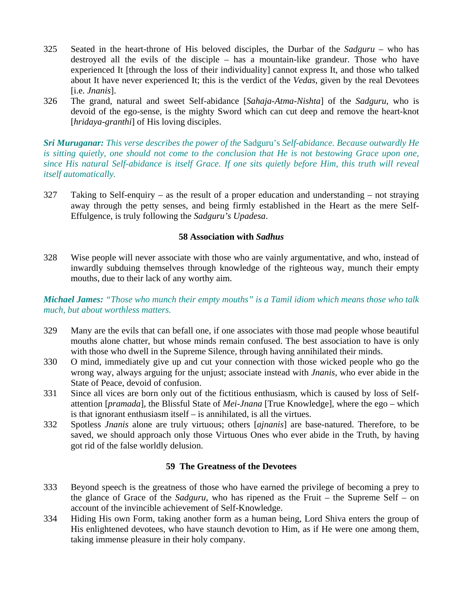- 325 Seated in the heart-throne of His beloved disciples, the Durbar of the *Sadguru* who has destroyed all the evils of the disciple – has a mountain-like grandeur. Those who have experienced It [through the loss of their individuality] cannot express It, and those who talked about It have never experienced It; this is the verdict of the *Vedas*, given by the real Devotees [i.e. *Jnanis*].
- 326 The grand, natural and sweet Self-abidance [*Sahaja-Atma-Nishta*] of the *Sadguru*, who is devoid of the ego-sense, is the mighty Sword which can cut deep and remove the heart-knot [*hridaya-granthi*] of His loving disciples.

*Sri Muruganar: This verse describes the power of the* Sadguru's *Self-abidance. Because outwardly He is sitting quietly, one should not come to the conclusion that He is not bestowing Grace upon one, since His natural Self-abidance is itself Grace. If one sits quietly before Him, this truth will reveal itself automatically.* 

327 Taking to Self-enquiry – as the result of a proper education and understanding – not straying away through the petty senses, and being firmly established in the Heart as the mere Self-Effulgence, is truly following the *Sadguru's Upadesa*.

### **58 Association with** *Sadhus*

328 Wise people will never associate with those who are vainly argumentative, and who, instead of inwardly subduing themselves through knowledge of the righteous way, munch their empty mouths, due to their lack of any worthy aim.

# *Michael James: "Those who munch their empty mouths" is a Tamil idiom which means those who talk much, but about worthless matters.*

- 329 Many are the evils that can befall one, if one associates with those mad people whose beautiful mouths alone chatter, but whose minds remain confused. The best association to have is only with those who dwell in the Supreme Silence, through having annihilated their minds.
- 330 O mind, immediately give up and cut your connection with those wicked people who go the wrong way, always arguing for the unjust; associate instead with *Jnanis*, who ever abide in the State of Peace, devoid of confusion.
- 331 Since all vices are born only out of the fictitious enthusiasm, which is caused by loss of Selfattention [*pramada*], the Blissful State of *Mei-Jnana* [True Knowledge], where the ego – which is that ignorant enthusiasm itself – is annihilated, is all the virtues.
- 332 Spotless *Jnanis* alone are truly virtuous; others [*ajnanis*] are base-natured. Therefore, to be saved, we should approach only those Virtuous Ones who ever abide in the Truth, by having got rid of the false worldly delusion.

## **59 The Greatness of the Devotees**

- 333 Beyond speech is the greatness of those who have earned the privilege of becoming a prey to the glance of Grace of the *Sadguru*, who has ripened as the Fruit – the Supreme Self – on account of the invincible achievement of Self-Knowledge.
- 334 Hiding His own Form, taking another form as a human being, Lord Shiva enters the group of His enlightened devotees, who have staunch devotion to Him, as if He were one among them, taking immense pleasure in their holy company.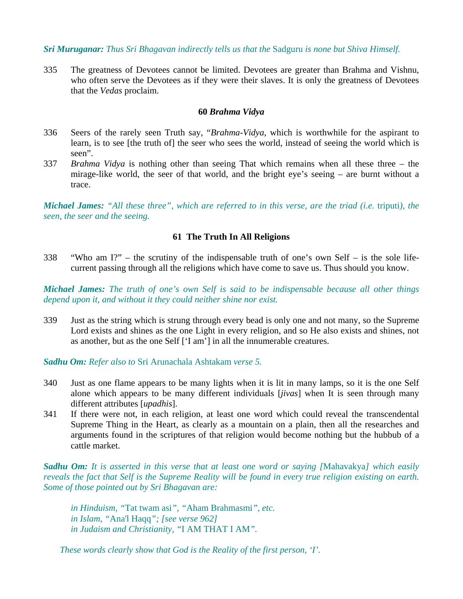#### *Sri Muruganar: Thus Sri Bhagavan indirectly tells us that the* Sadguru *is none but Shiva Himself.*

335 The greatness of Devotees cannot be limited. Devotees are greater than Brahma and Vishnu, who often serve the Devotees as if they were their slaves. It is only the greatness of Devotees that the *Vedas* proclaim.

#### **60** *Brahma Vidya*

- 336 Seers of the rarely seen Truth say, "*Brahma-Vidya*, which is worthwhile for the aspirant to learn, is to see [the truth of] the seer who sees the world, instead of seeing the world which is seen".
- 337 *Brahma Vidya* is nothing other than seeing That which remains when all these three the mirage-like world, the seer of that world, and the bright eye's seeing – are burnt without a trace.

*Michael James:* "All these three", which are referred to in this verse, are the triad (i.e. triputi), the *seen, the seer and the seeing.* 

# **61 The Truth In All Religions**

338 "Who am I?" – the scrutiny of the indispensable truth of one's own Self – is the sole lifecurrent passing through all the religions which have come to save us. Thus should you know.

*Michael James: The truth of one's own Self is said to be indispensable because all other things depend upon it, and without it they could neither shine nor exist.* 

339 Just as the string which is strung through every bead is only one and not many, so the Supreme Lord exists and shines as the one Light in every religion, and so He also exists and shines, not as another, but as the one Self ['I am'] in all the innumerable creatures.

*Sadhu Om: Refer also to* Sri Arunachala Ashtakam *verse 5.* 

- 340 Just as one flame appears to be many lights when it is lit in many lamps, so it is the one Self alone which appears to be many different individuals [*jivas*] when It is seen through many different attributes [*upadhis*].
- 341 If there were not, in each religion, at least one word which could reveal the transcendental Supreme Thing in the Heart, as clearly as a mountain on a plain, then all the researches and arguments found in the scriptures of that religion would become nothing but the hubbub of a cattle market.

*Sadhu Om: It is asserted in this verse that at least one word or saying [*Mahavakya*] which easily reveals the fact that Self is the Supreme Reality will be found in every true religion existing on earth. Some of those pointed out by Sri Bhagavan are:* 

*in Hinduism, "*Tat twam asi*", "*Aham Brahmasmi*", etc. in Islam, "*Ana'l Haqq*"; [see verse 962] in Judaism and Christianity, "*I AM THAT I AM*".* 

 *These words clearly show that God is the Reality of the first person, 'I'.*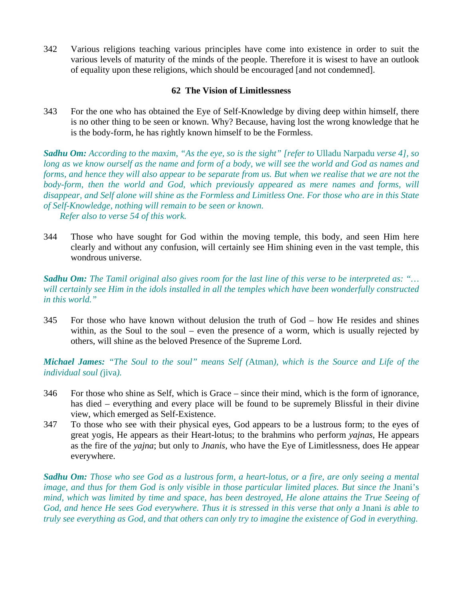342 Various religions teaching various principles have come into existence in order to suit the various levels of maturity of the minds of the people. Therefore it is wisest to have an outlook of equality upon these religions, which should be encouraged [and not condemned].

### **62 The Vision of Limitlessness**

343 For the one who has obtained the Eye of Self-Knowledge by diving deep within himself, there is no other thing to be seen or known. Why? Because, having lost the wrong knowledge that he is the body-form, he has rightly known himself to be the Formless.

*Sadhu Om: According to the maxim, "As the eye, so is the sight" [refer to* Ulladu Narpadu *verse 4], so long as we know ourself as the name and form of a body, we will see the world and God as names and forms, and hence they will also appear to be separate from us. But when we realise that we are not the*  body-form, then the world and God, which previously appeared as mere names and forms, will *disappear, and Self alone will shine as the Formless and Limitless One. For those who are in this State of Self-Knowledge, nothing will remain to be seen or known. Refer also to verse 54 of this work.* 

344 Those who have sought for God within the moving temple, this body, and seen Him here clearly and without any confusion, will certainly see Him shining even in the vast temple, this wondrous universe.

*Sadhu Om: The Tamil original also gives room for the last line of this verse to be interpreted as: "… will certainly see Him in the idols installed in all the temples which have been wonderfully constructed in this world."* 

345 For those who have known without delusion the truth of God – how He resides and shines within, as the Soul to the soul – even the presence of a worm, which is usually rejected by others, will shine as the beloved Presence of the Supreme Lord.

*Michael James: "The Soul to the soul" means Self (*Atman*), which is the Source and Life of the individual soul (*jiva*).* 

- 346 For those who shine as Self, which is Grace since their mind, which is the form of ignorance, has died – everything and every place will be found to be supremely Blissful in their divine view, which emerged as Self-Existence.
- 347 To those who see with their physical eyes, God appears to be a lustrous form; to the eyes of great yogis, He appears as their Heart-lotus; to the brahmins who perform *yajnas*, He appears as the fire of the *yajna*; but only to *Jnanis*, who have the Eye of Limitlessness, does He appear everywhere.

*Sadhu Om: Those who see God as a lustrous form, a heart-lotus, or a fire, are only seeing a mental image, and thus for them God is only visible in those particular limited places. But since the Jnani's mind, which was limited by time and space, has been destroyed, He alone attains the True Seeing of God, and hence He sees God everywhere. Thus it is stressed in this verse that only a Jnani is able to truly see everything as God, and that others can only try to imagine the existence of God in everything.*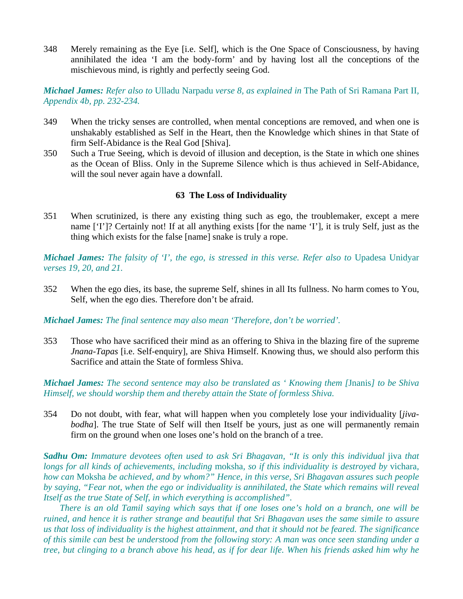348 Merely remaining as the Eye [i.e. Self], which is the One Space of Consciousness, by having annihilated the idea 'I am the body-form' and by having lost all the conceptions of the mischievous mind, is rightly and perfectly seeing God.

*Michael James: Refer also to* Ulladu Narpadu *verse 8, as explained in* The Path of Sri Ramana Part II*, Appendix 4b, pp. 232-234.* 

- 349 When the tricky senses are controlled, when mental conceptions are removed, and when one is unshakably established as Self in the Heart, then the Knowledge which shines in that State of firm Self-Abidance is the Real God [Shiva].
- 350 Such a True Seeing, which is devoid of illusion and deception, is the State in which one shines as the Ocean of Bliss. Only in the Supreme Silence which is thus achieved in Self-Abidance, will the soul never again have a downfall.

## **63 The Loss of Individuality**

351 When scrutinized, is there any existing thing such as ego, the troublemaker, except a mere name ['I']? Certainly not! If at all anything exists [for the name 'I'], it is truly Self, just as the thing which exists for the false [name] snake is truly a rope.

*Michael James: The falsity of 'I', the ego, is stressed in this verse. Refer also to Upadesa Unidyar verses 19, 20, and 21.* 

352 When the ego dies, its base, the supreme Self, shines in all Its fullness. No harm comes to You, Self, when the ego dies. Therefore don't be afraid.

*Michael James: The final sentence may also mean 'Therefore, don't be worried'.* 

353 Those who have sacrificed their mind as an offering to Shiva in the blazing fire of the supreme *Jnana-Tapas* [i.e. Self-enquiry], are Shiva Himself. Knowing thus, we should also perform this Sacrifice and attain the State of formless Shiva.

*Michael James: The second sentence may also be translated as ' Knowing them [*Jnanis*] to be Shiva Himself, we should worship them and thereby attain the State of formless Shiva.* 

354 Do not doubt, with fear, what will happen when you completely lose your individuality [*jivabodha*]. The true State of Self will then Itself be yours, just as one will permanently remain firm on the ground when one loses one's hold on the branch of a tree.

**Sadhu Om:** Immature devotees often used to ask Sri Bhagavan, "It is only this individual jiva that *longs for all kinds of achievements, including* moksha*, so if this individuality is destroyed by* vichara*, how can* Moksha *be achieved, and by whom?" Hence, in this verse, Sri Bhagavan assures such people by saying, "Fear not, when the ego or individuality is annihilated, the State which remains will reveal Itself as the true State of Self, in which everything is accomplished".* 

 *There is an old Tamil saying which says that if one loses one's hold on a branch, one will be ruined, and hence it is rather strange and beautiful that Sri Bhagavan uses the same simile to assure us that loss of individuality is the highest attainment, and that it should not be feared. The significance of this simile can best be understood from the following story: A man was once seen standing under a tree, but clinging to a branch above his head, as if for dear life. When his friends asked him why he*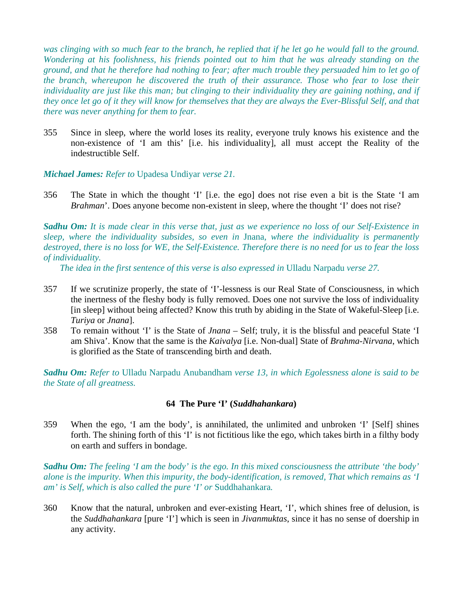*was clinging with so much fear to the branch, he replied that if he let go he would fall to the ground. Wondering at his foolishness, his friends pointed out to him that he was already standing on the ground, and that he therefore had nothing to fear; after much trouble they persuaded him to let go of the branch, whereupon he discovered the truth of their assurance. Those who fear to lose their individuality are just like this man; but clinging to their individuality they are gaining nothing, and if they once let go of it they will know for themselves that they are always the Ever-Blissful Self, and that there was never anything for them to fear.* 

355 Since in sleep, where the world loses its reality, everyone truly knows his existence and the non-existence of 'I am this' [i.e. his individuality], all must accept the Reality of the indestructible Self.

*Michael James: Refer to* Upadesa Undiyar *verse 21.* 

356 The State in which the thought 'I' [i.e. the ego] does not rise even a bit is the State 'I am *Brahman*'. Does anyone become non-existent in sleep, where the thought 'I' does not rise?

*Sadhu Om: It is made clear in this verse that, just as we experience no loss of our Self-Existence in sleep, where the individuality subsides, so even in* Jnana*, where the individuality is permanently destroyed, there is no loss for WE, the Self-Existence. Therefore there is no need for us to fear the loss of individuality.* 

 *The idea in the first sentence of this verse is also expressed in* Ulladu Narpadu *verse 27.* 

- 357 If we scrutinize properly, the state of 'I'-lessness is our Real State of Consciousness, in which the inertness of the fleshy body is fully removed. Does one not survive the loss of individuality [in sleep] without being affected? Know this truth by abiding in the State of Wakeful-Sleep [i.e. *Turiya* or *Jnana*].
- 358 To remain without 'I' is the State of *Jnana* Self; truly, it is the blissful and peaceful State 'I am Shiva'. Know that the same is the *Kaivalya* [i.e. Non-dual] State of *Brahma-Nirvana*, which is glorified as the State of transcending birth and death.

*Sadhu Om: Refer to* Ulladu Narpadu Anubandham *verse 13, in which Egolessness alone is said to be the State of all greatness.* 

# **64 The Pure 'I' (***Suddhahankara***)**

359 When the ego, 'I am the body', is annihilated, the unlimited and unbroken 'I' [Self] shines forth. The shining forth of this 'I' is not fictitious like the ego, which takes birth in a filthy body on earth and suffers in bondage.

*Sadhu Om: The feeling 'I am the body' is the ego. In this mixed consciousness the attribute 'the body' alone is the impurity. When this impurity, the body-identification, is removed, That which remains as 'I am' is Self, which is also called the pure 'I' or* Suddhahankara*.* 

360 Know that the natural, unbroken and ever-existing Heart, 'I', which shines free of delusion, is the *Suddhahankara* [pure 'I'] which is seen in *Jivanmuktas*, since it has no sense of doership in any activity.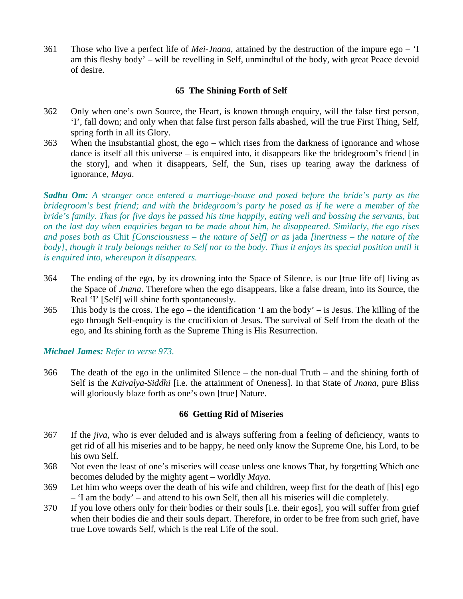361 Those who live a perfect life of *Mei-Jnana*, attained by the destruction of the impure ego – 'I am this fleshy body' – will be revelling in Self, unmindful of the body, with great Peace devoid of desire.

# **65 The Shining Forth of Self**

- 362 Only when one's own Source, the Heart, is known through enquiry, will the false first person, 'I', fall down; and only when that false first person falls abashed, will the true First Thing, Self, spring forth in all its Glory.
- 363 When the insubstantial ghost, the ego which rises from the darkness of ignorance and whose dance is itself all this universe – is enquired into, it disappears like the bridegroom's friend [in the story], and when it disappears, Self, the Sun, rises up tearing away the darkness of ignorance, *Maya*.

*Sadhu Om: A stranger once entered a marriage-house and posed before the bride's party as the bridegroom's best friend; and with the bridegroom's party he posed as if he were a member of the bride's family. Thus for five days he passed his time happily, eating well and bossing the servants, but on the last day when enquiries began to be made about him, he disappeared. Similarly, the ego rises and poses both as* Chit *[Consciousness – the nature of Self] or as* jada *[inertness – the nature of the body], though it truly belongs neither to Self nor to the body. Thus it enjoys its special position until it is enquired into, whereupon it disappears.* 

- 364 The ending of the ego, by its drowning into the Space of Silence, is our [true life of] living as the Space of *Jnana*. Therefore when the ego disappears, like a false dream, into its Source, the Real 'I' [Self] will shine forth spontaneously.
- 365 This body is the cross. The ego the identification 'I am the body' is Jesus. The killing of the ego through Self-enquiry is the crucifixion of Jesus. The survival of Self from the death of the ego, and Its shining forth as the Supreme Thing is His Resurrection.

### *Michael James: Refer to verse 973.*

366 The death of the ego in the unlimited Silence – the non-dual Truth – and the shining forth of Self is the *Kaivalya-Siddhi* [i.e. the attainment of Oneness]. In that State of *Jnana*, pure Bliss will gloriously blaze forth as one's own [true] Nature.

### **66 Getting Rid of Miseries**

- 367 If the *jiva*, who is ever deluded and is always suffering from a feeling of deficiency, wants to get rid of all his miseries and to be happy, he need only know the Supreme One, his Lord, to be his own Self.
- 368 Not even the least of one's miseries will cease unless one knows That, by forgetting Which one becomes deluded by the mighty agent – worldly *Maya*.
- 369 Let him who weeps over the death of his wife and children, weep first for the death of [his] ego – 'I am the body' – and attend to his own Self, then all his miseries will die completely.
- 370 If you love others only for their bodies or their souls [i.e. their egos], you will suffer from grief when their bodies die and their souls depart. Therefore, in order to be free from such grief, have true Love towards Self, which is the real Life of the soul.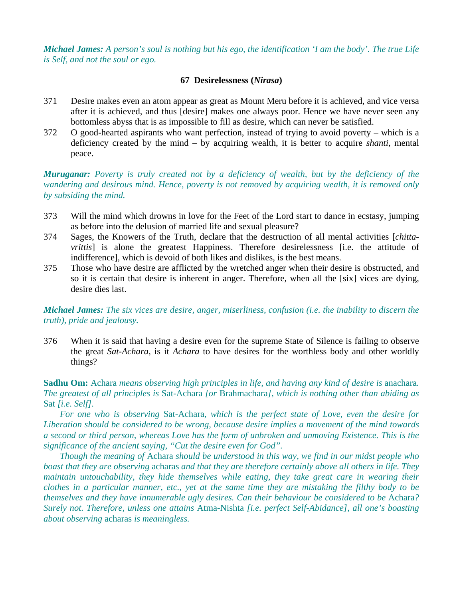*Michael James: A person's soul is nothing but his ego, the identification 'I am the body'. The true Life is Self, and not the soul or ego.* 

#### **67 Desirelessness (***Nirasa***)**

- 371 Desire makes even an atom appear as great as Mount Meru before it is achieved, and vice versa after it is achieved, and thus [desire] makes one always poor. Hence we have never seen any bottomless abyss that is as impossible to fill as desire, which can never be satisfied.
- 372 O good-hearted aspirants who want perfection, instead of trying to avoid poverty which is a deficiency created by the mind – by acquiring wealth, it is better to acquire *shanti*, mental peace.

*Muruganar: Poverty is truly created not by a deficiency of wealth, but by the deficiency of the wandering and desirous mind. Hence, poverty is not removed by acquiring wealth, it is removed only by subsiding the mind.* 

- 373 Will the mind which drowns in love for the Feet of the Lord start to dance in ecstasy, jumping as before into the delusion of married life and sexual pleasure?
- 374 Sages, the Knowers of the Truth, declare that the destruction of all mental activities [*chittavrittis*] is alone the greatest Happiness. Therefore desirelessness [i.e. the attitude of indifference], which is devoid of both likes and dislikes, is the best means.
- 375 Those who have desire are afflicted by the wretched anger when their desire is obstructed, and so it is certain that desire is inherent in anger. Therefore, when all the [six] vices are dying, desire dies last.

*Michael James: The six vices are desire, anger, miserliness, confusion (i.e. the inability to discern the truth), pride and jealousy.* 

376 When it is said that having a desire even for the supreme State of Silence is failing to observe the great *Sat-Achara*, is it *Achara* to have desires for the worthless body and other worldly things?

**Sadhu Om:** Achara *means observing high principles in life, and having any kind of desire is* anachara*. The greatest of all principles is* Sat-Achara *[or* Brahmachara*], which is nothing other than abiding as*  Sat *[i.e. Self].* 

 *For one who is observing* Sat-Achara*, which is the perfect state of Love, even the desire for Liberation should be considered to be wrong, because desire implies a movement of the mind towards a second or third person, whereas Love has the form of unbroken and unmoving Existence. This is the significance of the ancient saying, "Cut the desire even for God".* 

 *Though the meaning of* Achara *should be understood in this way, we find in our midst people who boast that they are observing* acharas *and that they are therefore certainly above all others in life. They maintain untouchability, they hide themselves while eating, they take great care in wearing their clothes in a particular manner, etc., yet at the same time they are mistaking the filthy body to be themselves and they have innumerable ugly desires. Can their behaviour be considered to be* Achara*? Surely not. Therefore, unless one attains* Atma-Nishta *[i.e. perfect Self-Abidance], all one's boasting about observing* acharas *is meaningless.*